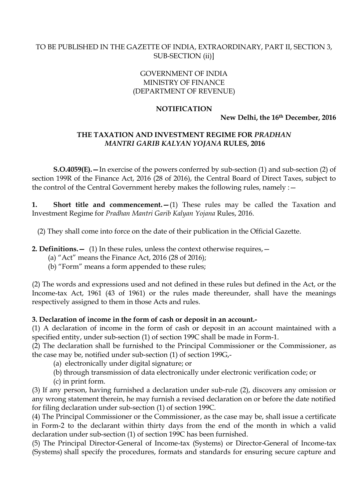# TO BE PUBLISHED IN THE GAZETTE OF INDIA, EXTRAORDINARY, PART II, SECTION 3, SUB-SECTION (ii)]

# GOVERNMENT OF INDIA MINISTRY OF FINANCE (DEPARTMENT OF REVENUE)

### **NOTIFICATION**

**New Delhi, the 16th December, 2016**

# **THE TAXATION AND INVESTMENT REGIME FOR** *PRADHAN MANTRI GARIB KALYAN YOJANA* **RULES, 2016**

**S.O.4059(E).—**In exercise of the powers conferred by sub-section (1) and sub-section (2) of section 199R of the Finance Act, 2016 (28 of 2016), the Central Board of Direct Taxes, subject to the control of the Central Government hereby makes the following rules, namely : -

**1. Short title and commencement.** - (1) These rules may be called the Taxation and Investment Regime for *Pradhan Mantri Garib Kalyan Yojana* Rules, 2016.

(2) They shall come into force on the date of their publication in the Official Gazette.

**2. Definitions.**  $-$  (1) In these rules, unless the context otherwise requires,  $-$ 

(a) "Act" means the Finance Act, 2016 (28 of 2016);

(b) "Form" means a form appended to these rules;

(2) The words and expressions used and not defined in these rules but defined in the Act, or the Income-tax Act, 1961 (43 of 1961) or the rules made thereunder, shall have the meanings respectively assigned to them in those Acts and rules.

### **3. Declaration of income in the form of cash or deposit in an account.-**

(1) A declaration of income in the form of cash or deposit in an account maintained with a specified entity, under sub-section (1) of section 199C shall be made in Form-1.

(2) The declaration shall be furnished to the Principal Commissioner or the Commissioner, as the case may be, notified under sub-section (1) of section 199G,-

(a) electronically under digital signature; or

(b) through transmission of data electronically under electronic verification code; or

(c) in print form.

(3) If any person, having furnished a declaration under sub-rule (2), discovers any omission or any wrong statement therein, he may furnish a revised declaration on or before the date notified for filing declaration under sub-section (1) of section 199C.

(4) The Principal Commissioner or the Commissioner, as the case may be, shall issue a certificate in Form-2 to the declarant within thirty days from the end of the month in which a valid declaration under sub-section (1) of section 199C has been furnished.

(5) The Principal Director-General of Income-tax (Systems) or Director-General of Income-tax (Systems) shall specify the procedures, formats and standards for ensuring secure capture and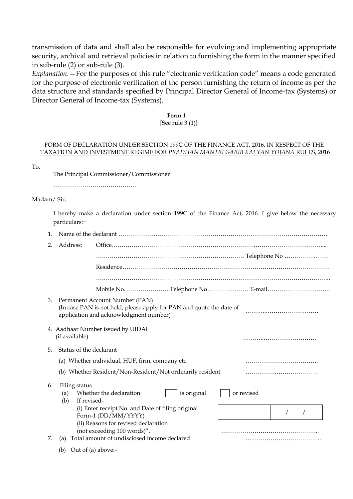transmission of data and shall also be responsible for evolving and implementing appropriate security, archival and retrieval policies in relation to furnishing the form in the manner specified in sub-rule (2) or sub-rule (3).

*Explanation.*—For the purposes of this rule "electronic verification code" means a code generated for the purpose of electronic verification of the person furnishing the return of income as per the data structure and standards specified by Principal Director General of Income-tax (Systems) or Director General of Income-tax (Systems).

### **Form 1**

### [See rule 3 (1)]

### FORM OF DECLARATION UNDER SECTION 199C OF THE FINANCE ACT, 2016, IN RESPECT OF THE TAXATION AND INVESTMENT REGIME FOR *PRADHAN MANTRI GARIB KALYAN YOJANA* RULES, 2016

To,

The Principal Commissioner/Commissioner

……………………………………………

(b) Out of (a) above:-

#### Madam/ Sir,

I hereby make a declaration under section 199C of the Finance Act, 2016. I give below the necessary particulars:−

| 2. | Address:                                   |                                                                                                                                                  |             |            |  |  |
|----|--------------------------------------------|--------------------------------------------------------------------------------------------------------------------------------------------------|-------------|------------|--|--|
|    |                                            |                                                                                                                                                  |             |            |  |  |
|    |                                            |                                                                                                                                                  |             |            |  |  |
|    |                                            |                                                                                                                                                  |             |            |  |  |
|    |                                            | Mobile No. Telephone No E-mail                                                                                                                   |             |            |  |  |
| 3. |                                            | Permanent Account Number (PAN)<br>(In case PAN is not held, please apply for PAN and quote the date of<br>application and acknowledgment number) |             |            |  |  |
|    | (if available)                             | 4. Aadhaar Number issued by UIDAI                                                                                                                |             |            |  |  |
| 5. | Status of the declarant                    |                                                                                                                                                  |             |            |  |  |
|    |                                            | (a) Whether individual, HUF, firm, company etc.                                                                                                  |             |            |  |  |
|    |                                            | (b) Whether Resident/Non-Resident/Not ordinarily resident                                                                                        |             |            |  |  |
| 6. | Filing status<br>(a)<br>If revised-<br>(b) | Whether the declaration                                                                                                                          | is original | or revised |  |  |
|    |                                            | (i) Enter receipt No. and Date of filing original<br>Form-1 (DD/MM/YYYY)                                                                         |             |            |  |  |
|    |                                            | (ii) Reasons for revised declaration<br>(not exceeding 100 words)".                                                                              |             |            |  |  |
| 7. | (a)                                        | Total amount of undisclosed income declared                                                                                                      |             |            |  |  |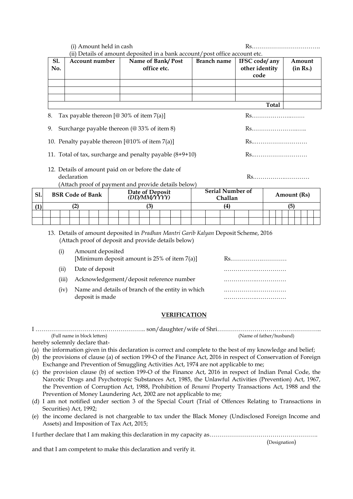|     |                                     |                                                                              | (i) Amount held in cash                                                                                                                                        |  |  |  |                                                                                                                 |  |              |                                 |    |  |                     |                                    |  |                                         |  |  |     |             |                    |  |  | $Rs.$ |
|-----|-------------------------------------|------------------------------------------------------------------------------|----------------------------------------------------------------------------------------------------------------------------------------------------------------|--|--|--|-----------------------------------------------------------------------------------------------------------------|--|--------------|---------------------------------|----|--|---------------------|------------------------------------|--|-----------------------------------------|--|--|-----|-------------|--------------------|--|--|-------|
|     | S1.<br><b>Account number</b><br>No. |                                                                              |                                                                                                                                                                |  |  |  | (ii) Details of amount deposited in a bank account/post office account etc.<br>Name of Bank/Post<br>office etc. |  |              |                                 |    |  | <b>Branch name</b>  |                                    |  | IFSC code/any<br>other identity<br>code |  |  |     |             | Amount<br>(in Rs.) |  |  |       |
|     |                                     |                                                                              |                                                                                                                                                                |  |  |  |                                                                                                                 |  |              |                                 |    |  |                     |                                    |  |                                         |  |  |     |             |                    |  |  |       |
|     |                                     |                                                                              |                                                                                                                                                                |  |  |  |                                                                                                                 |  |              |                                 |    |  |                     |                                    |  |                                         |  |  |     |             |                    |  |  |       |
|     |                                     |                                                                              |                                                                                                                                                                |  |  |  |                                                                                                                 |  | <b>Total</b> |                                 |    |  |                     |                                    |  |                                         |  |  |     |             |                    |  |  |       |
|     | 8.                                  | Tax payable thereon $[@30\%$ of item $7(a)]$                                 |                                                                                                                                                                |  |  |  |                                                                                                                 |  |              |                                 | Rs |  |                     |                                    |  |                                         |  |  |     |             |                    |  |  |       |
|     | 9.                                  | Surcharge payable thereon (@ 33% of item 8)                                  |                                                                                                                                                                |  |  |  |                                                                                                                 |  |              |                                 |    |  |                     |                                    |  |                                         |  |  |     |             |                    |  |  |       |
|     |                                     | 10. Penalty payable thereon [@10% of item 7(a)]                              |                                                                                                                                                                |  |  |  |                                                                                                                 |  |              |                                 |    |  |                     |                                    |  |                                         |  |  |     |             |                    |  |  |       |
|     |                                     | 11. Total of tax, surcharge and penalty payable (8+9+10)                     |                                                                                                                                                                |  |  |  |                                                                                                                 |  |              |                                 |    |  |                     |                                    |  |                                         |  |  |     |             |                    |  |  |       |
|     |                                     |                                                                              | 12. Details of amount paid on or before the date of<br>declaration<br>(Attach proof of payment and provide details below)                                      |  |  |  |                                                                                                                 |  |              |                                 |    |  |                     |                                    |  |                                         |  |  |     |             |                    |  |  |       |
| Sl. |                                     |                                                                              | <b>BSR Code of Bank</b>                                                                                                                                        |  |  |  |                                                                                                                 |  |              | Date of Deposit<br>(DD/MM/YYYY) |    |  |                     | <b>Serial Number of</b><br>Challan |  |                                         |  |  |     | Amount (Rs) |                    |  |  |       |
| (1) |                                     |                                                                              | (2)                                                                                                                                                            |  |  |  |                                                                                                                 |  | (3)          |                                 |    |  |                     | (4)                                |  |                                         |  |  | (5) |             |                    |  |  |       |
|     |                                     |                                                                              |                                                                                                                                                                |  |  |  |                                                                                                                 |  |              |                                 |    |  |                     |                                    |  |                                         |  |  |     |             |                    |  |  |       |
|     |                                     | (i)                                                                          | 13. Details of amount deposited in Pradhan Mantri Garib Kalyan Deposit Scheme, 2016<br>(Attach proof of deposit and provide details below)<br>Amount deposited |  |  |  | [Minimum deposit amount is 25% of item 7(a)]                                                                    |  |              |                                 |    |  |                     |                                    |  |                                         |  |  |     |             |                    |  |  |       |
|     |                                     | Date of deposit<br>(ii)                                                      |                                                                                                                                                                |  |  |  |                                                                                                                 |  |              |                                 |    |  |                     |                                    |  |                                         |  |  |     |             |                    |  |  |       |
|     |                                     | Acknowledgement/deposit reference number<br>(iii)                            |                                                                                                                                                                |  |  |  |                                                                                                                 |  |              |                                 |    |  |                     |                                    |  |                                         |  |  |     |             |                    |  |  |       |
|     |                                     | Name and details of branch of the entity in which<br>(iv)<br>deposit is made |                                                                                                                                                                |  |  |  |                                                                                                                 |  |              |                                 |    |  |                     |                                    |  |                                         |  |  |     |             |                    |  |  |       |
|     |                                     |                                                                              |                                                                                                                                                                |  |  |  |                                                                                                                 |  |              |                                 |    |  | <b>VERIFICATION</b> |                                    |  |                                         |  |  |     |             |                    |  |  |       |

I ……………………………………………….. son/daughter/wife of Shri…………………………………………….. (Full name in block letters) (Name of father/husband)

- hereby solemnly declare that-
- (a) the information given in this declaration is correct and complete to the best of my knowledge and belief;
- (b) the provisions of clause (a) of section 199-O of the Finance Act, 2016 in respect of Conservation of Foreign Exchange and Prevention of Smuggling Activities Act, 1974 are not applicable to me;
- (c) the provision clause (b) of section 199-O of the Finance Act, 2016 in respect of Indian Penal Code, the Narcotic Drugs and Psychotropic Substances Act, 1985, the Unlawful Activities (Prevention) Act, 1967, the Prevention of Corruption Act, 1988, Prohibition of *Benami* Property Transactions Act, 1988 and the Prevention of Money Laundering Act, 2002 are not applicable to me;
- (d) I am not notified under section 3 of the Special Court (Trial of Offences Relating to Transactions in Securities) Act, 1992;
- (e) the income declared is not chargeable to tax under the Black Money (Undisclosed Foreign Income and Assets) and Imposition of Tax Act, 2015;

I further declare that I am making this declaration in my capacity as……………………………………………….

and that I am competent to make this declaration and verify it.

(Designation)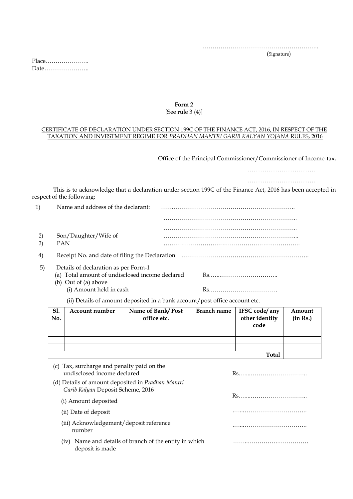…………………………………………………..

(Signature)

Place…………………. Date…………………..

#### **Form 2** [See rule 3 (4)]

#### CERTIFICATE OF DECLARATION UNDER SECTION 199C OF THE FINANCE ACT, 2016, IN RESPECT OF THE TAXATION AND INVESTMENT REGIME FOR *PRADHAN MANTRI GARIB KALYAN YOJANA* RULES, 2016

Office of the Principal Commissioner/Commissioner of Income-tax,

………………………………

………………………………

This is to acknowledge that a declaration under section 199C of the Finance Act, 2016 has been accepted in respect of the following:

|    | Name and address of the declarant:                                                                                                                                                                                                                                                      |  |
|----|-----------------------------------------------------------------------------------------------------------------------------------------------------------------------------------------------------------------------------------------------------------------------------------------|--|
|    |                                                                                                                                                                                                                                                                                         |  |
|    |                                                                                                                                                                                                                                                                                         |  |
|    | Son/Daughter/Wife of                                                                                                                                                                                                                                                                    |  |
| 3) | <b>PAN</b>                                                                                                                                                                                                                                                                              |  |
| 4) |                                                                                                                                                                                                                                                                                         |  |
| 5) | Details of declaration as per Form-1                                                                                                                                                                                                                                                    |  |
|    | (a) Total amount of undisclosed income declared                                                                                                                                                                                                                                         |  |
|    | (b) Out of (a) above                                                                                                                                                                                                                                                                    |  |
|    | (i) Amount held in cash                                                                                                                                                                                                                                                                 |  |
|    | $\sqrt{2}$ and $\sqrt{2}$ and $\sqrt{2}$ and $\sqrt{2}$ and $\sqrt{2}$ and $\sqrt{2}$ and $\sqrt{2}$ and $\sqrt{2}$ and $\sqrt{2}$ and $\sqrt{2}$ and $\sqrt{2}$ and $\sqrt{2}$ and $\sqrt{2}$ and $\sqrt{2}$ and $\sqrt{2}$ and $\sqrt{2}$ and $\sqrt{2}$ and $\sqrt{2}$ and $\sqrt{2$ |  |

(ii) Details of amount deposited in a bank account/post office account etc.

| Sl.<br>No.   | Account number | Name of Bank/Post<br>office etc. | <b>Branch name</b> | IFSC code/ any<br>other identity<br>code | Amount<br>(in Rs.) |  |  |  |  |
|--------------|----------------|----------------------------------|--------------------|------------------------------------------|--------------------|--|--|--|--|
|              |                |                                  |                    |                                          |                    |  |  |  |  |
|              |                |                                  |                    |                                          |                    |  |  |  |  |
|              |                |                                  |                    |                                          |                    |  |  |  |  |
| <b>Total</b> |                |                                  |                    |                                          |                    |  |  |  |  |

| (c) Tax, surcharge and penalty paid on the<br>undisclosed income declared                     |  |  |  |  |
|-----------------------------------------------------------------------------------------------|--|--|--|--|
| (d) Details of amount deposited in <i>Pradhan Mantri</i><br>Garib Kalyan Deposit Scheme, 2016 |  |  |  |  |
| (i) Amount deposited                                                                          |  |  |  |  |
| (ii) Date of deposit                                                                          |  |  |  |  |
| (iii) Acknowledgement/deposit reference<br>number                                             |  |  |  |  |
| Name and details of branch of the entity in which<br>(iv)<br>deposit is made                  |  |  |  |  |